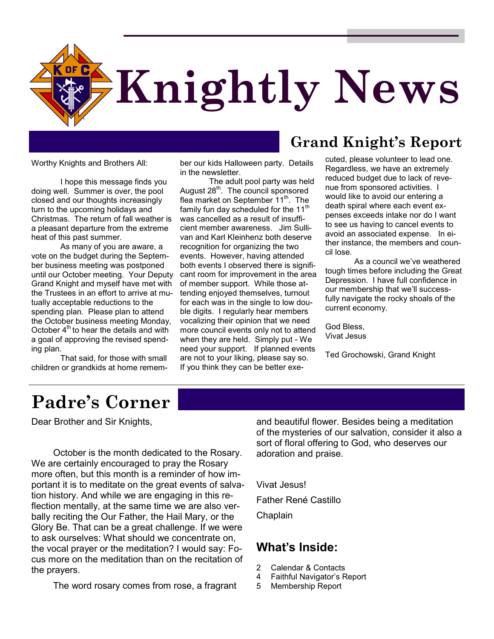

Worthy Knights and Brothers All:

I hope this message finds you doing well. Summer is over, the pool closed and our thoughts increasingly turn to the upcoming holidays and Christmas. The return of fall weather is a pleasant departure from the extreme heat of this past summer.

As many of you are aware, a vote on the budget during the September business meeting was postponed until our October meeting. Your Deputy Grand Knight and myself have met with the Trustees in an effort to arrive at mutually acceptable reductions to the spending plan. Please plan to attend the October business meeting Monday, October  $4<sup>th</sup>$  to hear the details and with a goal of approving the revised spending plan.

That said, for those with small children or grandkids at home remember our kids Halloween party. Details in the newsletter.

The adult pool party was held August 28<sup>th</sup>. The council sponsored flea market on September 11<sup>th</sup>. The family fun day scheduled for the 11<sup>th</sup> was cancelled as a result of insufficient member awareness. Jim Sullivan and Karl Kleinhenz both deserve recognition for organizing the two events. However, having attended both events I observed there is significant room for improvement in the area of member support. While those attending enjoyed themselves, turnout for each was in the single to low double digits. I regularly hear members vocalizing their opinion that we need more council events only not to attend when they are held. Simply put - We need your support. If planned events are not to your liking, please say so. If you think they can be better exe-

#### **Grand Knight's Report**

cuted, please volunteer to lead one. Regardless, we have an extremely reduced budget due to lack of revenue from sponsored activities. I would like to avoid our entering a death spiral where each event expenses exceeds intake nor do I want to see us having to cancel events to avoid an associated expense. In either instance, the members and council lose.

As a council we've weathered tough times before including the Great Depression. I have full confidence in our membership that we'll successfully navigate the rocky shoals of the current economy.

God Bless, Vivat Jesus

Ted Grochowski, Grand Knight

# **Padre's Corner**

Dear Brother and Sir Knights,

October is the month dedicated to the Rosary. We are certainly encouraged to pray the Rosary more often, but this month is a reminder of how important it is to meditate on the great events of salvation history. And while we are engaging in this reflection mentally, at the same time we are also verbally reciting the Our Father, the Hail Mary, or the Glory Be. That can be a great challenge. If we were to ask ourselves: What should we concentrate on, the vocal prayer or the meditation? I would say: Focus more on the meditation than on the recitation of the prayers.

The word rosary comes from rose, a fragrant

and beautiful flower. Besides being a meditation of the mysteries of our salvation, consider it also a sort of floral offering to God, who deserves our adoration and praise.

Vivat Jesus! Father René Castillo Chaplain

#### **What's Inside:**

- 2 Calendar & Contacts
- 4 Faithful Navigator's Report
- 5 Membership Report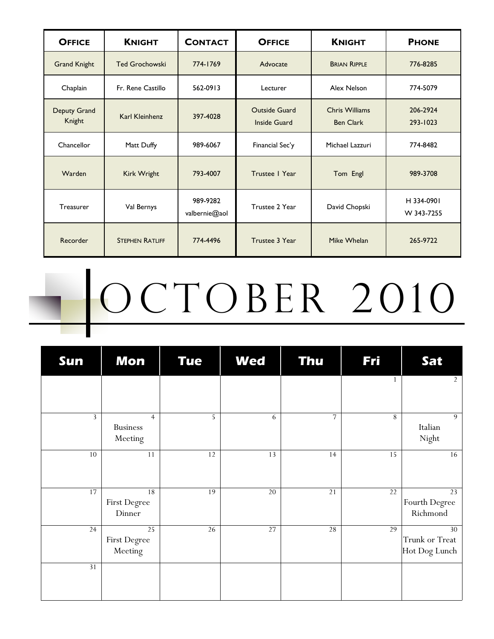| <b>OFFICE</b>          | <b>KNIGHT</b>          | <b>CONTACT</b>            | <b>OFFICE</b>                               | <b>KNIGHT</b>                             | <b>PHONE</b>             |
|------------------------|------------------------|---------------------------|---------------------------------------------|-------------------------------------------|--------------------------|
| <b>Grand Knight</b>    | <b>Ted Grochowski</b>  | 774-1769                  | Advocate                                    | <b>BRIAN RIPPLE</b>                       | 776-8285                 |
| Chaplain               | Fr. Rene Castillo      | 562-0913                  | Lecturer                                    | Alex Nelson                               | 774-5079                 |
| Deputy Grand<br>Knight | Karl Kleinhenz         | 397-4028                  | <b>Outside Guard</b><br><b>Inside Guard</b> | <b>Chris Williams</b><br><b>Ben Clark</b> | 206-2924<br>293-1023     |
| Chancellor             | Matt Duffy             | 989-6067                  | Financial Sec'y                             | Michael Lazzuri                           | 774-8482                 |
| Warden                 | Kirk Wright            | 793-4007                  | Trustee   Year                              | Tom Engl                                  | 989-3708                 |
| <b>Treasurer</b>       | Val Bernys             | 989-9282<br>valbernie@aol | Trustee 2 Year                              | David Chopski                             | H 334-0901<br>W 343-7255 |
| Recorder               | <b>STEPHEN RATLIFF</b> | 774-4496                  | Trustee 3 Year                              | Mike Whelan                               | 265-9722                 |

# OCTOBER 2010

| Sun             | Mon                                          | <b>Tue</b> | <b>Wed</b> | <b>Thu</b>     | <b>Fri</b> | Sat                                   |
|-----------------|----------------------------------------------|------------|------------|----------------|------------|---------------------------------------|
|                 |                                              |            |            |                |            | $\overline{2}$                        |
| 3               | $\overline{4}$<br><b>Business</b><br>Meeting | 5          | 6          | $\overline{7}$ | 8          | 9<br>Italian<br>Night                 |
| $10\,$          | 11                                           | $12\,$     | 13         | 14             | 15         | 16                                    |
| 17              | 18<br>First Degree<br>Dinner                 | 19         | $20\,$     | $21$           | $22\,$     | 23<br>Fourth Degree<br>Richmond       |
| 24              | 25<br>First Degree<br>Meeting                | $26\,$     | $27\,$     | 28             | 29         | 30<br>Trunk or Treat<br>Hot Dog Lunch |
| $\overline{31}$ |                                              |            |            |                |            |                                       |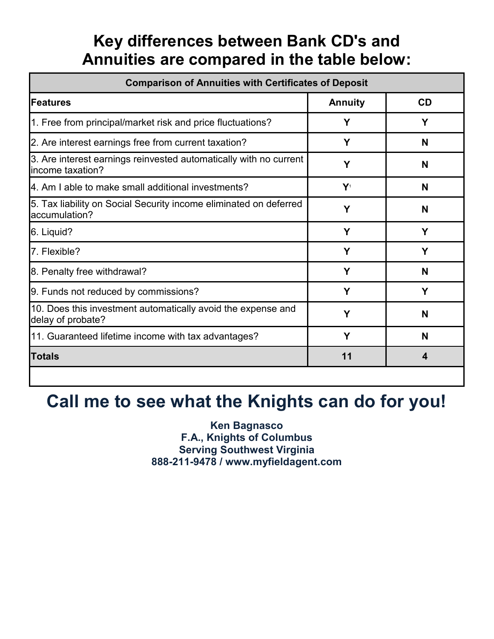## **Key differences between Bank CD's and Annuities are compared in the table below:**

| <b>Comparison of Annuities with Certificates of Deposit</b>                           |                |    |  |  |
|---------------------------------------------------------------------------------------|----------------|----|--|--|
| <b>Features</b>                                                                       | <b>Annuity</b> | CD |  |  |
| 1. Free from principal/market risk and price fluctuations?                            | Υ              | Y  |  |  |
| 2. Are interest earnings free from current taxation?                                  | Υ              | N  |  |  |
| 3. Are interest earnings reinvested automatically with no current<br>income taxation? | Υ              | N  |  |  |
| 4. Am I able to make small additional investments?                                    | $Y_1$          | N  |  |  |
| 5. Tax liability on Social Security income eliminated on deferred<br>accumulation?    | Υ              | N  |  |  |
| 6. Liquid?                                                                            | Υ              | Y  |  |  |
| 7. Flexible?                                                                          | Υ              | Υ  |  |  |
| 8. Penalty free withdrawal?                                                           | Υ              | N  |  |  |
| 9. Funds not reduced by commissions?                                                  | Υ              | Y  |  |  |
| 10. Does this investment automatically avoid the expense and<br>delay of probate?     | Υ              | N  |  |  |
| 11. Guaranteed lifetime income with tax advantages?                                   | Υ              | N  |  |  |
| <b>Totals</b>                                                                         | 11             | 4  |  |  |

# **Call me to see what the Knights can do for you!**

**Ken Bagnasco F.A., Knights of Columbus Serving Southwest Virginia 888-211-9478 / www.myfieldagent.com**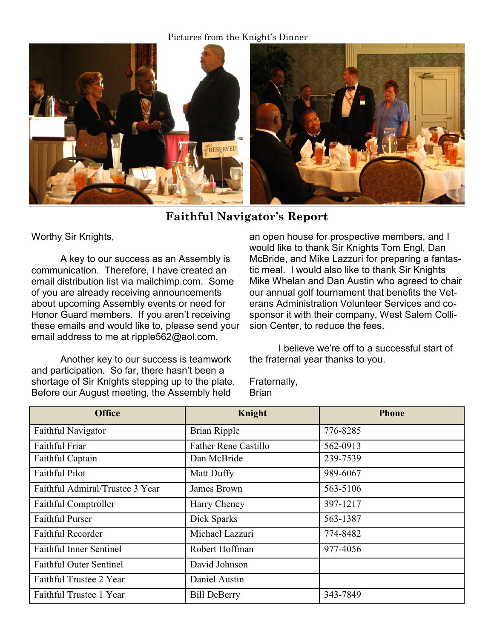Pictures from the Knight's Dinner



**Faithful Navigator's Report**

Worthy Sir Knights,

A key to our success as an Assembly is communication. Therefore, I have created an email distribution list via mailchimp.com. Some of you are already receiving announcements about upcoming Assembly events or need for Honor Guard members. If you aren't receiving these emails and would like to, please send your email address to me at ripple562@aol.com.

Another key to our success is teamwork and participation. So far, there hasn't been a shortage of Sir Knights stepping up to the plate. Before our August meeting, the Assembly held

an open house for prospective members, and I would like to thank Sir Knights Tom Engl, Dan McBride, and Mike Lazzuri for preparing a fantastic meal. I would also like to thank Sir Knights Mike Whelan and Dan Austin who agreed to chair our annual golf tournament that benefits the Veterans Administration Volunteer Services and cosponsor it with their company, West Salem Collision Center, to reduce the fees.

I believe we're off to a successful start of the fraternal year thanks to you.

Fraternally, **Brian** 

| <b>Office</b>                   | Knight                      | <b>Phone</b> |
|---------------------------------|-----------------------------|--------------|
| Faithful Navigator              | <b>Brian Ripple</b>         | 776-8285     |
| Faithful Friar                  | <b>Father Rene Castillo</b> | 562-0913     |
| Faithful Captain                | Dan McBride                 | 239-7539     |
| <b>Faithful Pilot</b>           | Matt Duffy                  | 989-6067     |
| Faithful Admiral/Trustee 3 Year | James Brown                 | 563-5106     |
| Faithful Comptroller            | Harry Cheney                | 397-1217     |
| <b>Faithful Purser</b>          | Dick Sparks                 | 563-1387     |
| <b>Faithful Recorder</b>        | Michael Lazzuri             | 774-8482     |
| <b>Faithful Inner Sentinel</b>  | Robert Hoffman              | 977-4056     |
| <b>Faithful Outer Sentinel</b>  | David Johnson               |              |
| Faithful Trustee 2 Year         | Daniel Austin               |              |
| Faithful Trustee 1 Year         | <b>Bill DeBerry</b>         | 343-7849     |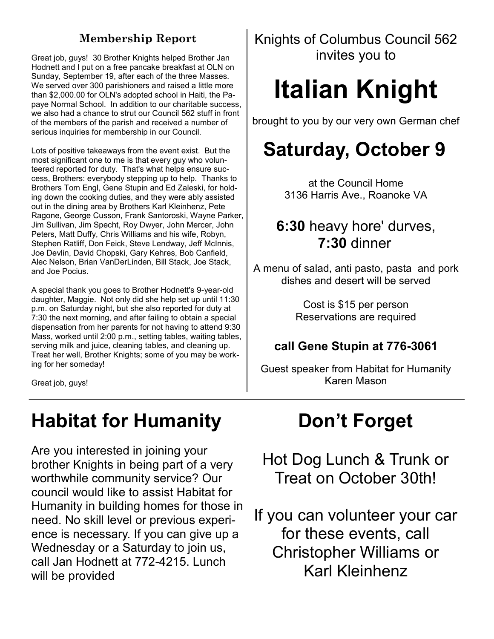Great job, guys! 30 Brother Knights helped Brother Jan Hodnett and I put on a free pancake breakfast at OLN on Sunday, September 19, after each of the three Masses. We served over 300 parishioners and raised a little more than \$2,000.00 for OLN's adopted school in Haiti, the Papaye Normal School. In addition to our charitable success, we also had a chance to strut our Council 562 stuff in front of the members of the parish and received a number of serious inquiries for membership in our Council.

Lots of positive takeaways from the event exist. But the most significant one to me is that every guy who volunteered reported for duty. That's what helps ensure success, Brothers: everybody stepping up to help. Thanks to Brothers Tom Engl, Gene Stupin and Ed Zaleski, for holding down the cooking duties, and they were ably assisted out in the dining area by Brothers Karl Kleinhenz, Pete Ragone, George Cusson, Frank Santoroski, Wayne Parker, Jim Sullivan, Jim Specht, Roy Dwyer, John Mercer, John Peters, Matt Duffy, Chris Williams and his wife, Robyn, Stephen Ratliff, Don Feick, Steve Lendway, Jeff McInnis, Joe Devlin, David Chopski, Gary Kehres, Bob Canfield, Alec Nelson, Brian VanDerLinden, Bill Stack, Joe Stack, and Joe Pocius.

A special thank you goes to Brother Hodnett's 9-year-old daughter, Maggie. Not only did she help set up until 11:30 p.m. on Saturday night, but she also reported for duty at 7:30 the next morning, and after failing to obtain a special dispensation from her parents for not having to attend 9:30 Mass, worked until 2:00 p.m., setting tables, waiting tables, serving milk and juice, cleaning tables, and cleaning up. Treat her well, Brother Knights; some of you may be working for her someday!

Great job, guys!

# **Habitat for Humanity**

Are you interested in joining your brother Knights in being part of a very worthwhile community service? Our council would like to assist Habitat for Humanity in building homes for those in need. No skill level or previous experience is necessary. If you can give up a Wednesday or a Saturday to join us, call Jan Hodnett at 772-4215. Lunch will be provided

**Membership Report** Knights of Columbus Council 562 invites you to

# **Italian Knight**

brought to you by our very own German chef

# **Saturday, October 9**

at the Council Home 3136 Harris Ave., Roanoke VA

### **6:30** heavy hore' durves, **7:30** dinner

A menu of salad, anti pasto, pasta and pork dishes and desert will be served

> Cost is \$15 per person Reservations are required

#### **call Gene Stupin at 776-3061**

Guest speaker from Habitat for Humanity Karen Mason

# **Don't Forget**

Hot Dog Lunch & Trunk or Treat on October 30th!

If you can volunteer your car for these events, call Christopher Williams or Karl Kleinhenz